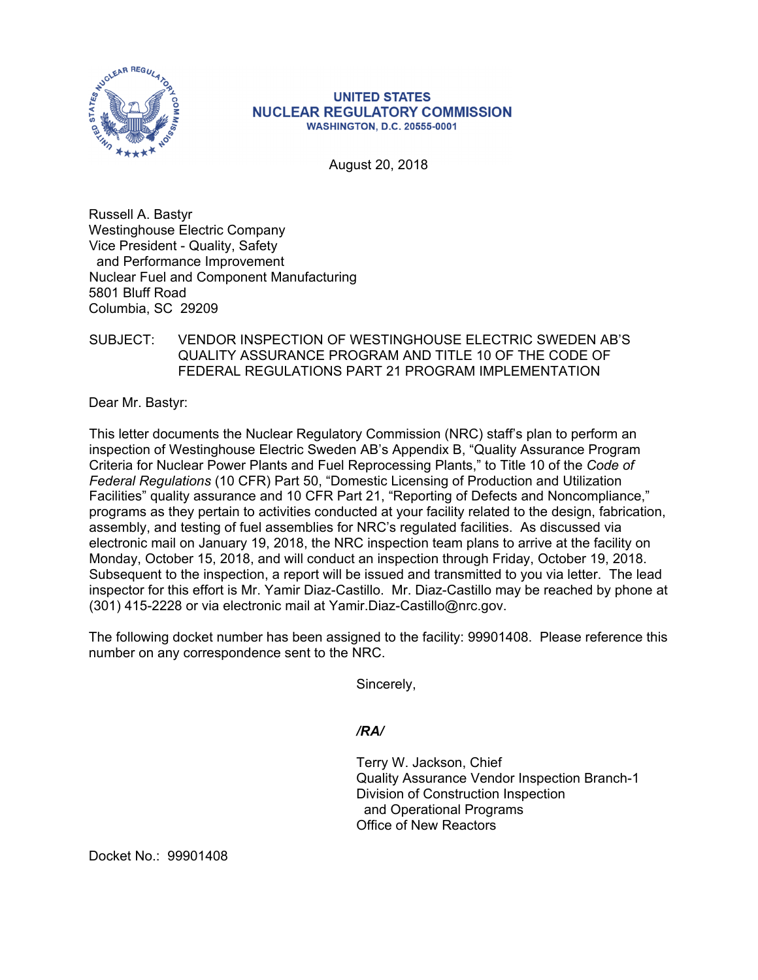

## **UNITED STATES NUCLEAR REGULATORY COMMISSION WASHINGTON, D.C. 20555-0001**

August 20, 2018

Russell A. Bastyr Westinghouse Electric Company Vice President - Quality, Safety and Performance Improvement Nuclear Fuel and Component Manufacturing 5801 Bluff Road Columbia, SC 29209

## SUBJECT: VENDOR INSPECTION OF WESTINGHOUSE ELECTRIC SWEDEN AB'S QUALITY ASSURANCE PROGRAM AND TITLE 10 OF THE CODE OF FEDERAL REGULATIONS PART 21 PROGRAM IMPLEMENTATION

Dear Mr. Bastyr:

This letter documents the Nuclear Regulatory Commission (NRC) staff's plan to perform an inspection of Westinghouse Electric Sweden AB's Appendix B, "Quality Assurance Program Criteria for Nuclear Power Plants and Fuel Reprocessing Plants," to Title 10 of the *Code of Federal Regulations* (10 CFR) Part 50, "Domestic Licensing of Production and Utilization Facilities" quality assurance and 10 CFR Part 21, "Reporting of Defects and Noncompliance," programs as they pertain to activities conducted at your facility related to the design, fabrication, assembly, and testing of fuel assemblies for NRC's regulated facilities. As discussed via electronic mail on January 19, 2018, the NRC inspection team plans to arrive at the facility on Monday, October 15, 2018, and will conduct an inspection through Friday, October 19, 2018. Subsequent to the inspection, a report will be issued and transmitted to you via letter. The lead inspector for this effort is Mr. Yamir Diaz-Castillo. Mr. Diaz-Castillo may be reached by phone at (301) 415-2228 or via electronic mail at Yamir.Diaz-Castillo@nrc.gov.

The following docket number has been assigned to the facility: 99901408. Please reference this number on any correspondence sent to the NRC.

Sincerely,

*/RA/* 

Terry W. Jackson, Chief Quality Assurance Vendor Inspection Branch-1 Division of Construction Inspection and Operational Programs Office of New Reactors

Docket No.: 99901408